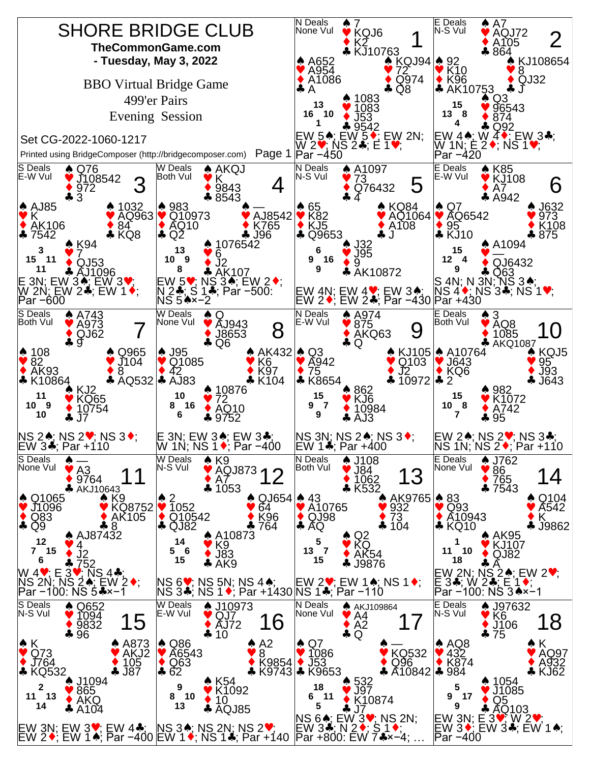